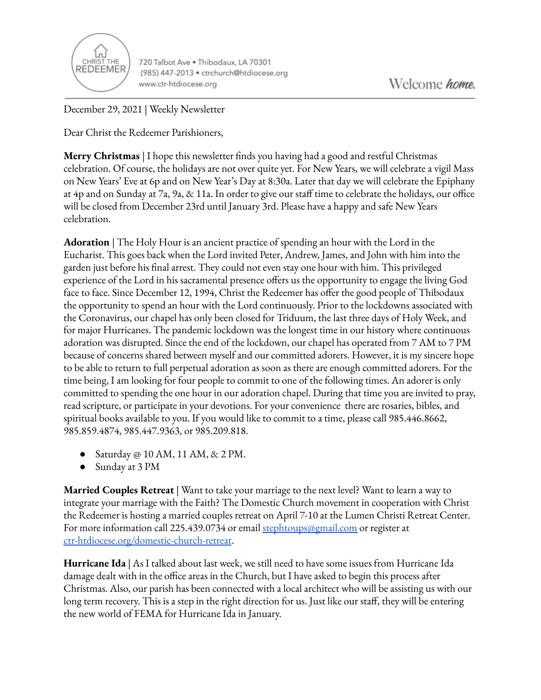

720 Talbot Ave . Thibodaux, LA 70301 (985) 447-2013 · ctrchurch@htdiocese.org www.ctr-htdiocese.org

December 29, 2021 | Weekly Newsletter

Dear Christ the Redeemer Parishioners,

**Merry Christmas** | I hope this newsletter finds you having had a good and restful Christmas celebration. Of course, the holidays are not over quite yet. For New Years, we will celebrate a vigil Mass on New Years' Eve at 6p and on New Year's Day at 8:30a. Later that day we will celebrate the Epiphany at 4p and on Sunday at 7a, 9a, & 11a. In order to give our staff time to celebrate the holidays, our office will be closed from December 23rd until January 3rd. Please have a happy and safe New Years celebration.

**Adoration** | The Holy Hour is an ancient practice of spending an hour with the Lord in the Eucharist. This goes back when the Lord invited Peter, Andrew, James, and John with him into the garden just before his final arrest. They could not even stay one hour with him. This privileged experience of the Lord in his sacramental presence offers us the opportunity to engage the living God face to face. Since December 12, 1994, Christ the Redeemer has offer the good people of Thibodaux the opportunity to spend an hour with the Lord continuously. Prior to the lockdowns associated with the Coronavirus, our chapel has only been closed for Triduum, the last three days of Holy Week, and for major Hurricanes. The pandemic lockdown was the longest time in our history where continuous adoration was disrupted. Since the end of the lockdown, our chapel has operated from 7 AM to 7 PM because of concerns shared between myself and our committed adorers. However, it is my sincere hope to be able to return to full perpetual adoration as soon as there are enough committed adorers. For the time being, I am looking for four people to commit to one of the following times. An adorer is only committed to spending the one hour in our adoration chapel. During that time you are invited to pray, read scripture, or participate in your devotions. For your convenience there are rosaries, bibles, and spiritual books available to you. If you would like to commit to a time, please call 985.446.8662, 985.859.4874, 985.447.9363, or 985.209.818.

- Saturday  $\circledcirc$  10 AM, 11 AM, & 2 PM.
- Sunday at 3 PM

**Married Couples Retreat** | Want to take your marriage to the next level? Want to learn a way to integrate your marriage with the Faith? The Domestic Church movement in cooperation with Christ the Redeemer is hosting a married couples retreat on April 7-10 at the Lumen Christi Retreat Center. For more information call 225.439.0734 or email [stephtoups@gmail.com](mailto:stephtoups@gmail.com) or register at [ctr-htdiocese.org/domestic-church-retreat](https://www.ctr-htdiocese.org/domestic-church-retreat).

**Hurricane Ida** | As I talked about last week, we still need to have some issues from Hurricane Ida damage dealt with in the office areas in the Church, but I have asked to begin this process after Christmas. Also, our parish has been connected with a local architect who will be assisting us with our long term recovery. This is a step in the right direction for us. Just like our staff, they will be entering the new world of FEMA for Hurricane Ida in January.